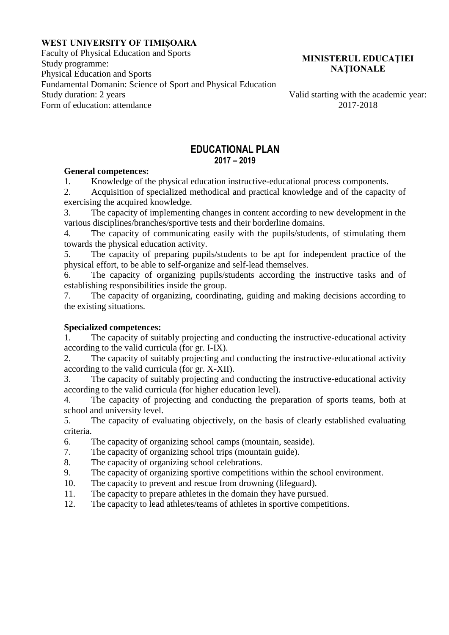## **WEST UNIVERSITY OF TIMIȘOARA**

Faculty of Physical Education and Sports Study programme: Physical Education and Sports Fundamental Domanin: Science of Sport and Physical Education Study duration: 2 years Valid starting with the academic year:<br>Form of education: attendance 2017-2018 Form of education: attendance

#### **MINISTERUL EDUCAŢIEI NAȚIONALE**

#### **EDUCATIONAL PLAN 2017 – 2019**

#### **General competences:**

1. Knowledge of the physical education instructive-educational process components.

2. Acquisition of specialized methodical and practical knowledge and of the capacity of exercising the acquired knowledge.

3. The capacity of implementing changes in content according to new development in the various disciplines/branches/sportive tests and their borderline domains.

4. The capacity of communicating easily with the pupils/students, of stimulating them towards the physical education activity.

5. The capacity of preparing pupils/students to be apt for independent practice of the physical effort, to be able to self-organize and self-lead themselves.

6. The capacity of organizing pupils/students according the instructive tasks and of establishing responsibilities inside the group.

7. The capacity of organizing, coordinating, guiding and making decisions according to the existing situations.

## **Specialized competences:**

1. The capacity of suitably projecting and conducting the instructive-educational activity according to the valid curricula (for gr. I-IX).

2. The capacity of suitably projecting and conducting the instructive-educational activity according to the valid curricula (for gr. X-XII).

3. The capacity of suitably projecting and conducting the instructive-educational activity according to the valid curricula (for higher education level).

4. The capacity of projecting and conducting the preparation of sports teams, both at school and university level.

5. The capacity of evaluating objectively, on the basis of clearly established evaluating criteria.

6. The capacity of organizing school camps (mountain, seaside).

7. The capacity of organizing school trips (mountain guide).

8. The capacity of organizing school celebrations.

9. The capacity of organizing sportive competitions within the school environment.

10. The capacity to prevent and rescue from drowning (lifeguard).

11. The capacity to prepare athletes in the domain they have pursued.

12. The capacity to lead athletes/teams of athletes in sportive competitions.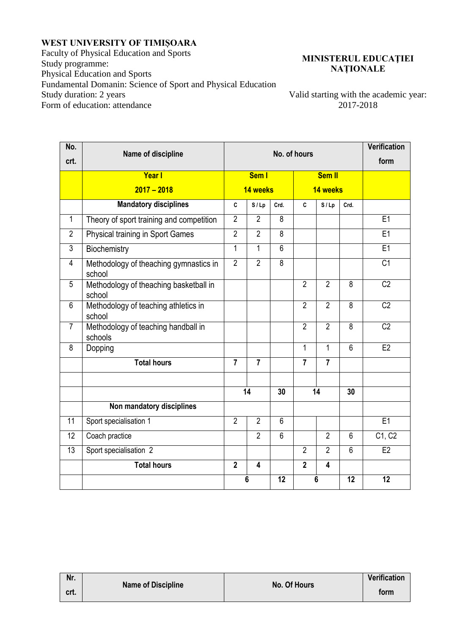# **WEST UNIVERSITY OF TIMIȘOARA**

Faculty of Physical Education and Sports Study programme: Physical Education and Sports Fundamental Domanin: Science of Sport and Physical Education Form of education: attendance

## **MINISTERUL EDUCAŢIEI NAȚIONALE**

Valid starting with the academic year:<br>2017-2018

| No.             | Name of discipline                               | No. of hours   |                         |                |                |                |                | <b>Verification</b> |
|-----------------|--------------------------------------------------|----------------|-------------------------|----------------|----------------|----------------|----------------|---------------------|
| crt.            |                                                  |                |                         |                |                |                | form           |                     |
|                 | <b>Year</b> I                                    |                | Sem I                   |                | <b>Sem II</b>  |                |                |                     |
|                 | $2017 - 2018$                                    |                | 14 weeks                |                |                | 14 weeks       |                |                     |
|                 | <b>Mandatory disciplines</b>                     | C              | S/Lp                    | Crd.           | C              | S/Lp           | Crd.           |                     |
| $\mathbf{1}$    | Theory of sport training and competition         | $\overline{2}$ | $\overline{2}$          | 8              |                |                |                | E1                  |
| $\overline{2}$  | <b>Physical training in Sport Games</b>          | $\overline{2}$ | $\overline{2}$          | $\overline{8}$ |                |                |                | E1                  |
| $\overline{3}$  | Biochemistry                                     | $\mathbf 1$    | 1                       | $\overline{6}$ |                |                |                | E1                  |
| 4               | Methodology of theaching gymnastics in<br>school | $\overline{2}$ | $\overline{2}$          | $\overline{8}$ |                |                |                | $\overline{C1}$     |
| 5               | Methodology of theaching basketball in<br>school |                |                         |                | $\overline{2}$ | $\overline{2}$ | $\overline{8}$ | $\overline{C2}$     |
| 6               | Methodology of teaching athletics in<br>school   |                |                         |                | $\overline{2}$ | $\overline{2}$ | 8              | C <sub>2</sub>      |
| $\overline{7}$  | Methodology of teaching handball in<br>schools   |                |                         |                | $\overline{2}$ | $\overline{2}$ | $\overline{8}$ | $\overline{C2}$     |
| 8               | Dopping                                          |                |                         |                | $\mathbf{1}$   | $\mathbf{1}$   | $\overline{6}$ | E2                  |
|                 | <b>Total hours</b>                               | $\overline{7}$ | $\overline{7}$          |                | $\overline{7}$ | $\overline{7}$ |                |                     |
|                 |                                                  |                |                         |                |                |                |                |                     |
|                 |                                                  | 14             |                         | 30             | 14             |                | 30             |                     |
|                 | Non mandatory disciplines                        |                |                         |                |                |                |                |                     |
| $\overline{11}$ | Sport specialisation 1                           | $\overline{2}$ | $\overline{2}$          | $\overline{6}$ |                |                |                | E1                  |
| $\overline{12}$ | Coach practice                                   |                | $\overline{2}$          | $\overline{6}$ |                | $\overline{2}$ | 6              | C1, C2              |
| $\overline{13}$ | Sport specialisation 2                           |                |                         |                | $\overline{2}$ | $\overline{2}$ | $\overline{6}$ | E2                  |
|                 | <b>Total hours</b>                               | $\overline{2}$ | $\overline{\mathbf{4}}$ |                | $\overline{2}$ | 4              |                |                     |
|                 |                                                  | 6              |                         | 12             | $6\phantom{1}$ |                | 12             | 12                  |